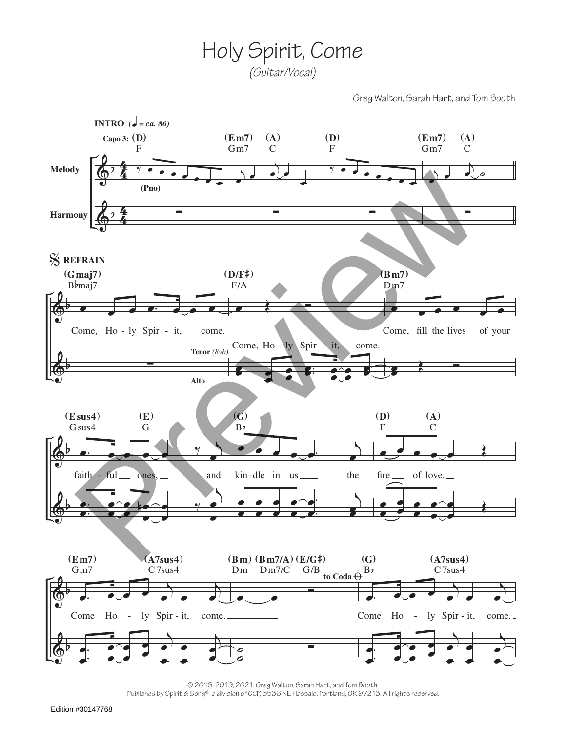Holy Spirit, Come *(Guitar/Vocal)*

Greg Walton, Sarah Hart, and Tom Booth



© 2016, 2019, 2021, Greg Walton, Sarah Hart, and Tom Booth.

Published by Spirit & Song®, a division of OCP, 5536 NE Hassalo, Portland, OR 97213. All rights reserved.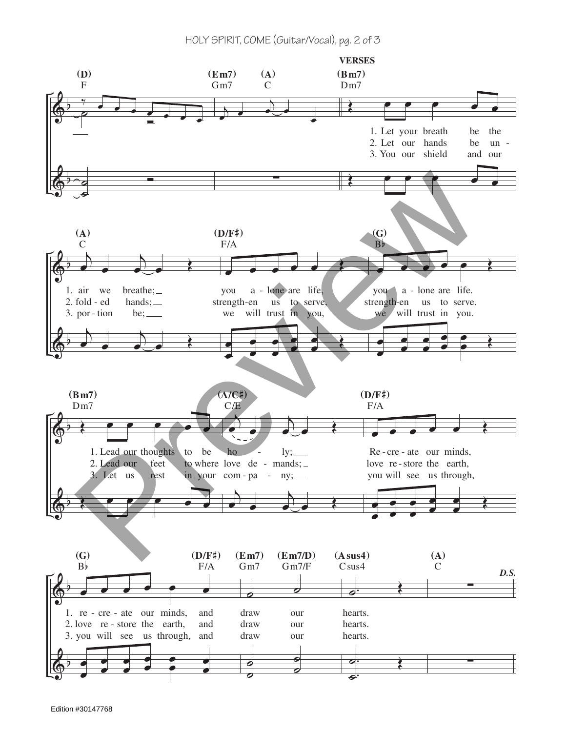HOLY SPIRIT, COME (Guitar/Vocal), pg. 2 of 3